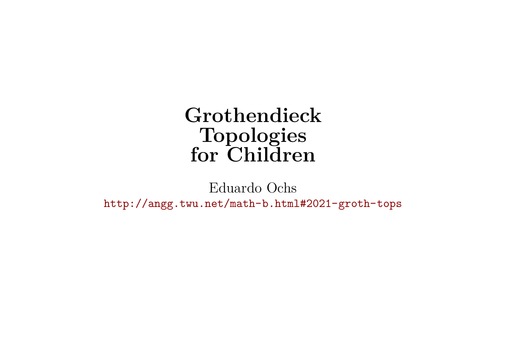**Grothendieck Topologies for Children**

Eduardo Ochs <http://angg.twu.net/math-b.html#2021-groth-tops>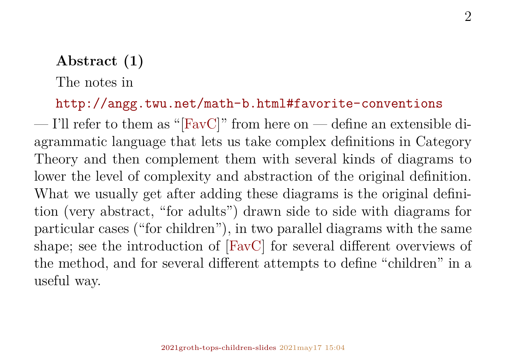## **Abstract (1)**

The notes in

#### <http://angg.twu.net/math-b.html#favorite-conventions>

—I'll refer to them as "[\[FavC\]](#page-12-0)" from here on — define an extensible diagrammatic language that lets us take complex definitions in Category Theory and then complement them with several kinds of diagrams to lower the level of complexity and abstraction of the original definition. What we usually get after adding these diagrams is the original definition (very abstract, "for adults") drawn side to side with diagrams for particular cases ("for children"), in two parallel diagrams with the same shape; see the introduction of [\[FavC\]](#page-12-0) for several different overviews of the method, and for several different attempts to define "children" in a useful way.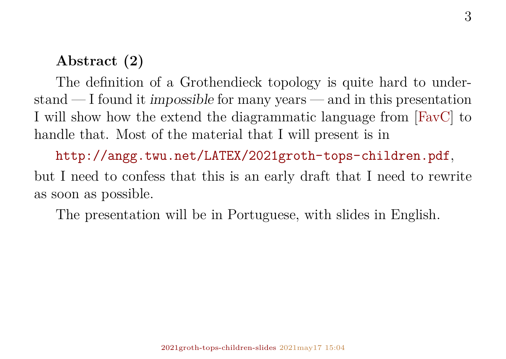## **Abstract (2)**

The definition of a Grothendieck topology is quite hard to understand — I found it impossible for many years — and in this presentation I will show how the extend the diagrammatic language from [\[FavC\]](#page-12-0) to handle that. Most of the material that I will present is in

<http://angg.twu.net/LATEX/2021groth-tops-children.pdf>, but I need to confess that this is an early draft that I need to rewrite as soon as possible.

The presentation will be in Portuguese, with slides in English.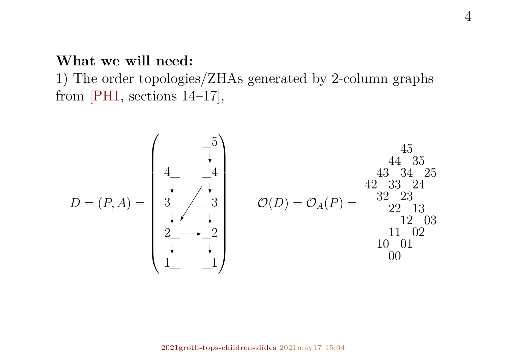#### **What we will need:**

1) The order topologies/ZHAs generated by 2-column graphs from [\[PH1,](#page-12-1) sections 14–17],

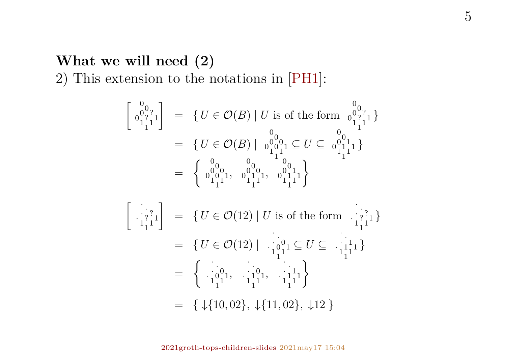## **What we will need (2)** 2) This extension to the notations in [\[PH1\]](#page-12-1):

$$
\begin{aligned}\n\begin{bmatrix}\n\begin{matrix}\n0_{0}^{0}_{2}^{0}_{1} \\
1_{1}^{11}\n\end{matrix}\n\end{bmatrix} & = \{ U \in \mathcal{O}(B) \mid U \text{ is of the form } \begin{matrix}\n0_{0}^{0}_{2}^{0}_{2} \\
0_{1}^{0}_{1}^{11}_{1}\n\end{matrix} \} \\
& = \{ U \in \mathcal{O}(B) \mid \begin{matrix}\n0_{0}^{0}_{0}^{0}_{1} & \leq U \leq \begin{matrix}\n0_{0}^{0}_{1}^{1}_{1} \\
0_{1}^{0}^{0}_{1}^{1}_{1} & \ldots & 0_{1}^{0} \\
0_{1}^{0}^{0}_{1}^{1}_{1} & \ldots & 0_{1}^{0} \\
1_{1}^{11}\n\end{matrix} \} \\
& = \begin{matrix}\n\begin{matrix}\n\vdots \\
\vdots \\
\vdots \\
\vdots \\
\end{matrix}\n\end{matrix}\n\end{matrix}
$$
\n
$$
\begin{aligned}\n\begin{bmatrix}\n\vdots \\
\vdots \\
\vdots \\
\vdots \\
\end{bmatrix}^{2} \\
& = \{ U \in \mathcal{O}(12) \mid U \text{ is of the form } \begin{matrix}\n\vdots \\
\vdots \\
\vdots \\
\vdots \\
\vdots \\
\end{matrix}\n\end{aligned}
$$
\n
$$
= \{ U \in \mathcal{O}(12) \mid \begin{matrix}\n\vdots \\
\vdots \\
\vdots \\
\vdots \\
\end{matrix}\n\end{aligned}
$$
\n
$$
= \{ U \in \mathcal{O}(12) \mid \begin{matrix}\n\vdots \\
\vdots \\
\vdots \\
\vdots \\
\vdots \\
\end{matrix}\n\end{aligned}
$$
\n
$$
= \{ U \in \mathcal{O}(12) \mid \begin{matrix}\n\vdots \\
\vdots \\
\vdots \\
\vdots \\
\vdots \\
\end{matrix}\n\begin{matrix}\n\vdots \\
\vdots \\
\vdots \\
\vdots \\
\end{matrix}\n\end{aligned}
$$
\n
$$
= \{ U \in \mathcal{O}(12) \mid \begin{matrix}\n\vdots \\
\vdots \\
\vdots \\
\vdots \\
\vdots \\
\vdots \\
\end{matrix}\n\begin{matrix}\n\vdots \\
\vdots \\
\vdots \\
\vdots \\
\vdots \\
\vdots \\
\end{matrix}\n\end{aligned}
$$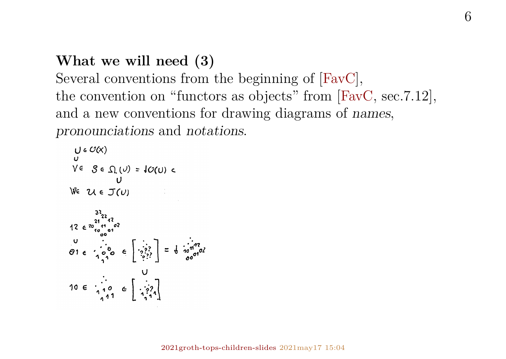## **What we will need (3)**

Several conventions from the beginning of [\[FavC\]](#page-12-0), the convention on "functors as objects" from [\[FavC,](#page-12-0) sec.7.12], and a new conventions for drawing diagrams of names, pronounciations and notations.

$$
V \in S \in \Omega(U) = 10(0) \in U
$$
  
\n
$$
V \in \mathcal{U} \in \mathcal{I}(U)
$$
  
\n
$$
W \in \mathcal{U} \in \mathcal{I}(U)
$$
  
\n
$$
32n
$$
  
\n12  $e^{-22} \cdot 10^{-20}$   
\n
$$
0 \cdot 1 e^{-2} \cdot 10^{-20} e^{-20}
$$
  
\n
$$
0 \cdot 1 e^{-2} \cdot 10^{-20} e^{-20} e^{-20}
$$
  
\n
$$
0 \cdot 1 e^{-2} \cdot 10^{-20} e^{-20}
$$
  
\n
$$
0 \cdot 1 e^{-2} \cdot 10^{-20} e^{-20}
$$
  
\n
$$
0 \cdot 10 e^{-2} \cdot 10^{-20} e^{-20}
$$
  
\n
$$
0 \cdot 10 e^{-2} \cdot 10^{-20} e^{-20}
$$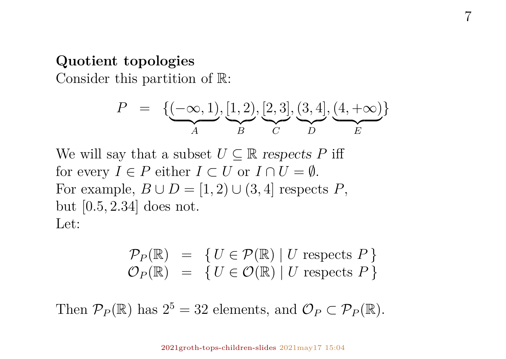#### **Quotient topologies**

Consider this partition of R:

$$
P = \{(\underline{-\infty}, 1), [\underline{1}, 2), [\underline{2}, 3], (\underline{3}, 4], (\underline{4}, +\infty))\}
$$

We will say that a subset  $U \subseteq \mathbb{R}$  respects P iff for every  $I \in P$  either  $I \subset U$  or  $I \cap U = \emptyset$ . For example,  $B \cup D = [1, 2) \cup (3, 4]$  respects P, but [0.5, 2.34] does not. Let:

$$
\mathcal{P}_P(\mathbb{R}) = \{ U \in \mathcal{P}(\mathbb{R}) \mid U \text{ respects } P \}
$$
  

$$
\mathcal{O}_P(\mathbb{R}) = \{ U \in \mathcal{O}(\mathbb{R}) \mid U \text{ respects } P \}
$$

Then  $\mathcal{P}_P(\mathbb{R})$  has  $2^5 = 32$  elements, and  $\mathcal{O}_P \subset \mathcal{P}_P(\mathbb{R})$ .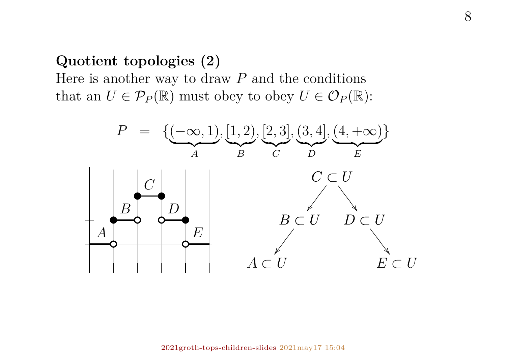#### **Quotient topologies (2)**

Here is another way to draw  $P$  and the conditions that an  $U \in \mathcal{P}_P(\mathbb{R})$  must obey to obey  $U \in \mathcal{O}_P(\mathbb{R})$ :

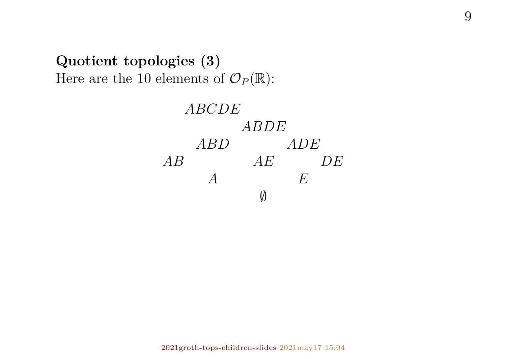## **Quotient topologies (3)** Here are the 10 elements of  $\mathcal{O}_P(\mathbb{R})$ :

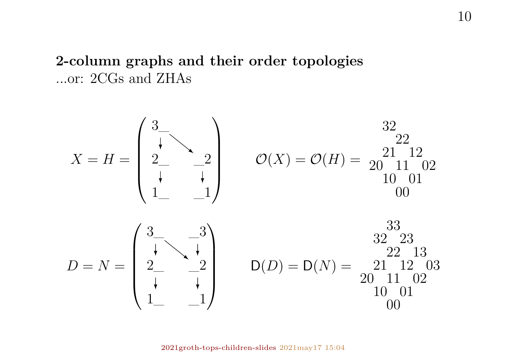## **2-column graphs and their order topologies** ...or: 2CGs and ZHAs

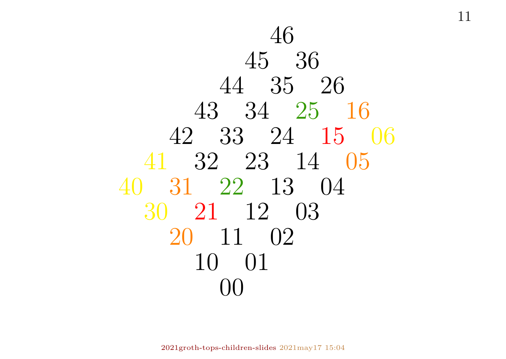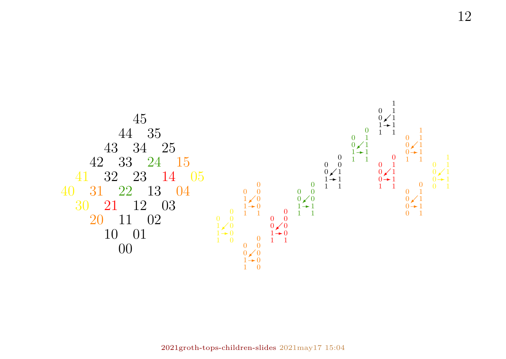

[2021groth-tops-children-slides](http://angg.twu.net/2020.2-C2.html) 2021may17 15:04